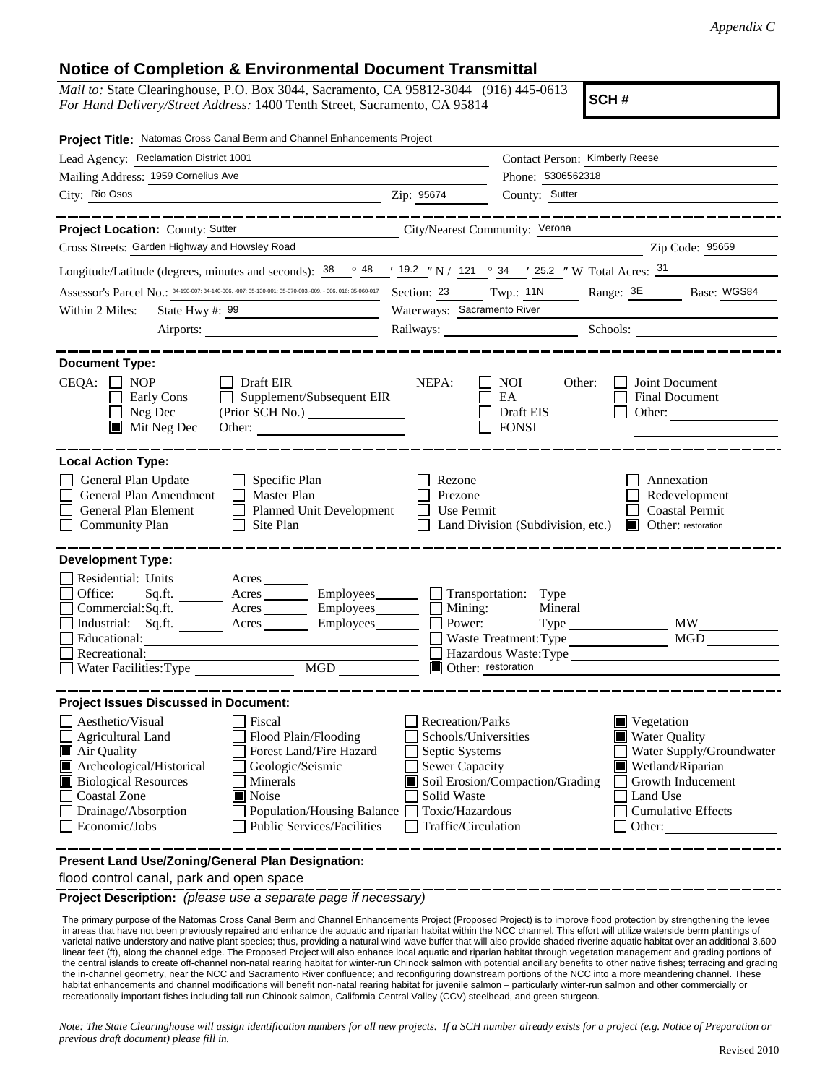## **Notice of Completion & Environmental Document Transmittal**

*Mail to:* State Clearinghouse, P.O. Box 3044, Sacramento, CA 95812-3044 (916) 445-0613 *For Hand Delivery/Street Address:* 1400 Tenth Street, Sacramento, CA 95814

**SCH #**

| Project Title: Natomas Cross Canal Berm and Channel Enhancements Project                                                                                                                                                                                                                                                                                              |                                                                                                                                                     |                                                                                   |                                                                                                                                                     |
|-----------------------------------------------------------------------------------------------------------------------------------------------------------------------------------------------------------------------------------------------------------------------------------------------------------------------------------------------------------------------|-----------------------------------------------------------------------------------------------------------------------------------------------------|-----------------------------------------------------------------------------------|-----------------------------------------------------------------------------------------------------------------------------------------------------|
| Lead Agency: Reclamation District 1001                                                                                                                                                                                                                                                                                                                                |                                                                                                                                                     | Contact Person: Kimberly Reese                                                    |                                                                                                                                                     |
| Mailing Address: 1959 Cornelius Ave                                                                                                                                                                                                                                                                                                                                   |                                                                                                                                                     | Phone: 5306562318                                                                 |                                                                                                                                                     |
| City: Rio Osos                                                                                                                                                                                                                                                                                                                                                        | Zip: 95674                                                                                                                                          | County: Sutter                                                                    |                                                                                                                                                     |
|                                                                                                                                                                                                                                                                                                                                                                       |                                                                                                                                                     |                                                                                   |                                                                                                                                                     |
| Project Location: County: Sutter<br><u> 1980 - Johann Barnett, fransk politik (</u>                                                                                                                                                                                                                                                                                   | City/Nearest Community: Verona                                                                                                                      |                                                                                   |                                                                                                                                                     |
| Cross Streets: Garden Highway and Howsley Road                                                                                                                                                                                                                                                                                                                        |                                                                                                                                                     |                                                                                   | Zip Code: 95659                                                                                                                                     |
| Longitude/Latitude (degrees, minutes and seconds): $\frac{38}{19.2}$ $\frac{48}{19.2}$ $\frac{19.2}{19.2}$ $\frac{19.2}{19.2}$ $\frac{19.2}{19.2}$ $\frac{19.2}{19.2}$ $\frac{19.2}{19.2}$ $\frac{19.2}{19.2}$ $\frac{19.2}{19.2}$ $\frac{19.2}{19.2}$ $\frac{19.2}{19.2}$                                                                                            |                                                                                                                                                     |                                                                                   |                                                                                                                                                     |
| Assessor's Parcel No.: 34-190-007: 34-140-006, -007: 35-130-001: 35-070-003, -006, 016: 35-060-017 Section: 23 Twp.: 11N                                                                                                                                                                                                                                              |                                                                                                                                                     | $\frac{1}{2}$                                                                     | Range: 3E Base: WGS84                                                                                                                               |
| Within 2 Miles:<br>State Hwy #: 99                                                                                                                                                                                                                                                                                                                                    | Waterways: Sacramento River                                                                                                                         |                                                                                   |                                                                                                                                                     |
|                                                                                                                                                                                                                                                                                                                                                                       |                                                                                                                                                     |                                                                                   | Railways: Schools: Schools:                                                                                                                         |
|                                                                                                                                                                                                                                                                                                                                                                       |                                                                                                                                                     |                                                                                   |                                                                                                                                                     |
| <b>Document Type:</b><br>$CEQA: \Box NP$<br>Draft EIR<br>Supplement/Subsequent EIR<br>Early Cons<br>Neg Dec<br>$\blacksquare$ Mit Neg Dec<br>Other:                                                                                                                                                                                                                   | NEPA:                                                                                                                                               | NOI<br>Other:<br>EA<br>Draft EIS<br><b>FONSI</b>                                  | Joint Document<br><b>Final Document</b><br>Other:                                                                                                   |
| <b>Local Action Type:</b><br>General Plan Update<br>$\Box$ Specific Plan<br>General Plan Amendment<br>$\Box$ Master Plan<br>General Plan Element<br>Planned Unit Development<br><b>Community Plan</b><br>Site Plan                                                                                                                                                    | Rezone<br>Prezone<br>Use Permit                                                                                                                     | Land Division (Subdivision, etc.)                                                 | Annexation<br>Redevelopment<br><b>Coastal Permit</b><br><b>Other:</b> restoration                                                                   |
| <b>Development Type:</b>                                                                                                                                                                                                                                                                                                                                              |                                                                                                                                                     |                                                                                   |                                                                                                                                                     |
| Residential: Units ________ Acres ______<br>Office:<br>Sq.fit.<br>Acres <u>___________</u> Employees ________<br>Commercial:Sq.ft. ________ Acres _________ Employees _______<br>Industrial: Sq.ft. _______ Acres ________ Employees _______<br>Educational:<br>Recreational:<br>MGD                                                                                  | Mining:<br>$\mathbf{L}$<br>Power:<br>Other: restoration                                                                                             | Transportation: Type<br>Mineral<br>Waste Treatment: Type<br>Hazardous Waste: Type | <b>MW</b><br><b>MGD</b>                                                                                                                             |
| <b>Project Issues Discussed in Document:</b>                                                                                                                                                                                                                                                                                                                          |                                                                                                                                                     |                                                                                   |                                                                                                                                                     |
| Aesthetic/Visual<br><b>Fiscal</b><br>Flood Plain/Flooding<br><b>Agricultural Land</b><br>Forest Land/Fire Hazard<br>Air Quality<br>Archeological/Historical<br>Geologic/Seismic<br><b>Biological Resources</b><br>Minerals<br><b>Coastal Zone</b><br>Noise<br>Drainage/Absorption<br>Population/Housing Balance<br>Economic/Jobs<br><b>Public Services/Facilities</b> | <b>Recreation/Parks</b><br>Schools/Universities<br>Septic Systems<br><b>Sewer Capacity</b><br>Solid Waste<br>Toxic/Hazardous<br>Traffic/Circulation | Soil Erosion/Compaction/Grading                                                   | Vegetation<br>Water Quality<br>Water Supply/Groundwater<br>Wetland/Riparian<br>Growth Inducement<br>Land Use<br><b>Cumulative Effects</b><br>Other: |
| Present Land Use/Zoning/General Plan Designation:                                                                                                                                                                                                                                                                                                                     |                                                                                                                                                     |                                                                                   |                                                                                                                                                     |

flood control canal, park and open space

**Project Description:** *(please use a separate page if necessary)*

 The primary purpose of the Natomas Cross Canal Berm and Channel Enhancements Project (Proposed Project) is to improve flood protection by strengthening the levee in areas that have not been previously repaired and enhance the aquatic and riparian habitat within the NCC channel. This effort will utilize waterside berm plantings of varietal native understory and native plant species; thus, providing a natural wind-wave buffer that will also provide shaded riverine aquatic habitat over an additional 3,600 linear feet (ft), along the channel edge. The Proposed Project will also enhance local aquatic and riparian habitat through vegetation management and grading portions of the central islands to create off-channel non-natal rearing habitat for winter-run Chinook salmon with potential ancillary benefits to other native fishes; terracing and grading the in-channel geometry, near the NCC and Sacramento River confluence; and reconfiguring downstream portions of the NCC into a more meandering channel. These habitat enhancements and channel modifications will benefit non-natal rearing habitat for juvenile salmon – particularly winter-run salmon and other commercially or recreationally important fishes including fall-run Chinook salmon, California Central Valley (CCV) steelhead, and green sturgeon.

*Note: The State Clearinghouse will assign identification numbers for all new projects. If a SCH number already exists for a project (e.g. Notice of Preparation or previous draft document) please fill in.*